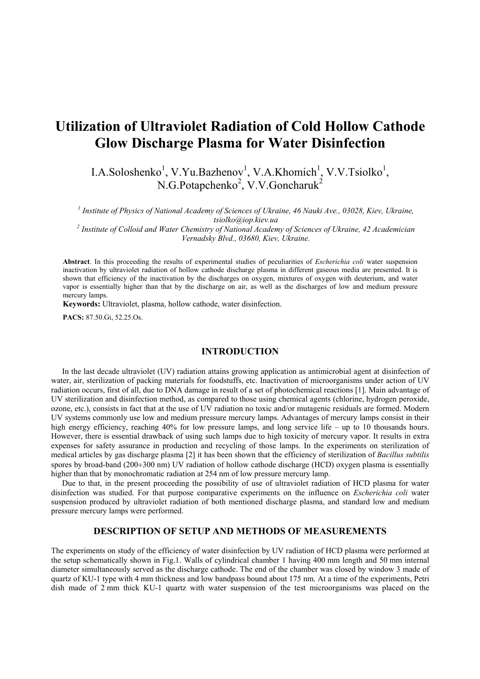# **Utilization of Ultraviolet Radiation of Cold Hollow Cathode Glow Discharge Plasma for Water Disinfection**

I.A.Soloshenko<sup>1</sup>, V.Yu.Bazhenov<sup>1</sup>, V.A.Khomich<sup>1</sup>, V.V.Tsiolko<sup>1</sup>,  $N.G.Potapchenko<sup>2</sup>, V.V.Goncharuk<sup>2</sup>$ 

*1 Institute of Physics of National Academy of Sciences of Ukraine, 46 Nauki Ave., 03028, Kiev, Ukraine, tsiolko@iop.kiev.ua <sup>2</sup> Institute of Colloid and Water Chemistry of National Academy of Sciences of Ukraine, 42 Academician*

*Vernadsky Blvd., 03680, Kiev, Ukraine.*

**Abstract**. In this proceeding the results of experimental studies of peculiarities of *Escherichia coli* water suspension inactivation by ultraviolet radiation of hollow cathode discharge plasma in different gaseous media are presented. It is shown that efficiency of the inactivation by the discharges on oxygen, mixtures of oxygen with deuterium, and water vapor is essentially higher than that by the discharge on air, as well as the discharges of low and medium pressure mercury lamps.

**Keywords:** Ultraviolet, plasma, hollow cathode, water disinfection.

**PACS:** 87.50.Gi, 52.25.Os.

#### **INTRODUCTION**

In the last decade ultraviolet (UV) radiation attains growing application as antimicrobial agent at disinfection of water, air, sterilization of packing materials for foodstuffs, etc. Inactivation of microorganisms under action of UV radiation occurs, first of all, due to DNA damage in result of a set of photochemical reactions [1]. Main advantage of UV sterilization and disinfection method, as compared to those using chemical agents (chlorine, hydrogen peroxide, ozone, etc.), consists in fact that at the use of UV radiation no toxic and/or mutagenic residuals are formed. Modern UV systems commonly use low and medium pressure mercury lamps. Advantages of mercury lamps consist in their high energy efficiency, reaching 40% for low pressure lamps, and long service life – up to 10 thousands hours. However, there is essential drawback of using such lamps due to high toxicity of mercury vapor. It results in extra expenses for safety assurance in production and recycling of those lamps. In the experiments on sterilization of medical articles by gas discharge plasma [2] it has been shown that the efficiency of sterilization of *Bacillus subtilis* spores by broad-band (200÷300 nm) UV radiation of hollow cathode discharge (HCD) oxygen plasma is essentially higher than that by monochromatic radiation at 254 nm of low pressure mercury lamp.

Due to that, in the present proceeding the possibility of use of ultraviolet radiation of HCD plasma for water disinfection was studied. For that purpose comparative experiments on the influence on *Escherichia coli* water suspension produced by ultraviolet radiation of both mentioned discharge plasma, and standard low and medium pressure mercury lamps were performed.

## **DESCRIPTION OF SETUP AND METHODS OF MEASUREMENTS**

The experiments on study of the efficiency of water disinfection by UV radiation of HCD plasma were performed at the setup schematically shown in Fig.1. Walls of cylindrical chamber 1 having 400 mm length and 50 mm internal diameter simultaneously served as the discharge cathode. The end of the chamber was closed by window 3 made of quartz of KU-1 type with 4 mm thickness and low bandpass bound about 175 nm. At a time of the experiments, Petri dish made of 2 mm thick KU-1 quartz with water suspension of the test microorganisms was placed on the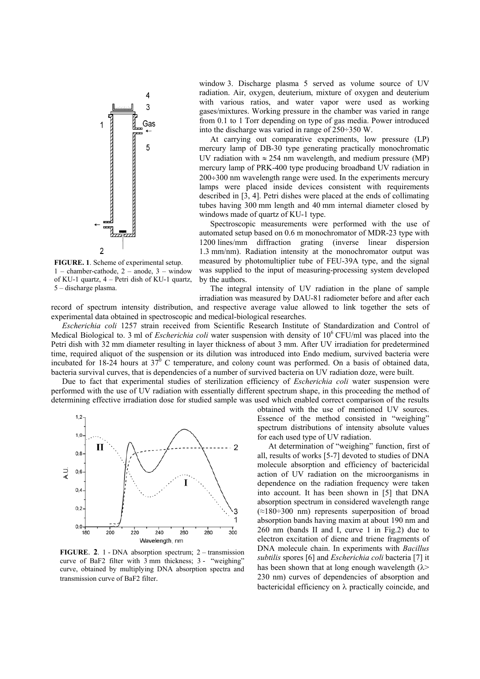

**FIGURE. 1**. Scheme of experimental setup.  $1$  – chamber-cathode,  $2$  – anode,  $3$  – window of KU-1 quartz, 4 – Petri dish of KU-1 quartz, 5 – discharge plasma.

window 3. Discharge plasma 5 served as volume source of UV radiation. Air, oxygen, deuterium, mixture of oxygen and deuterium with various ratios, and water vapor were used as working gases/mixtures. Working pressure in the chamber was varied in range from 0.1 to 1 Torr depending on type of gas media. Power introduced into the discharge was varied in range of 250÷350 W.

At carrying out comparative experiments, low pressure (LP) mercury lamp of DB-30 type generating practically monochromatic UV radiation with  $\approx 254$  nm wavelength, and medium pressure (MP) mercury lamp of PRK-400 type producing broadband UV radiation in 200÷300 nm wavelength range were used. In the experiments mercury lamps were placed inside devices consistent with requirements described in [3, 4]. Petri dishes were placed at the ends of collimating tubes having 300 mm length and 40 mm internal diameter closed by windows made of quartz of KU-1 type.

Spectroscopic measurements were performed with the use of automated setup based on 0.6 m monochromator of MDR-23 type with 1200 lines/mm diffraction grating (inverse linear dispersion 1.3 mm/nm). Radiation intensity at the monochromator output was measured by photomultiplier tube of FEU-39A type, and the signal was supplied to the input of measuring-processing system developed by the authors.

The integral intensity of UV radiation in the plane of sample irradiation was measured by DAU-81 radiometer before and after each record of spectrum intensity distribution, and respective average value allowed to link together the sets of

experimental data obtained in spectroscopic and medical-biological researches. *Escherichia coli* 1257 strain received from Scientific Research Institute of Standardization and Control of Medical Biological to. 3 ml of *Escherichia coli* water suspension with density of 10<sup>6</sup> CFU/ml was placed into the Petri dish with 32 mm diameter resulting in layer thickness of about 3 mm. After UV irradiation for predetermined time, required aliquot of the suspension or its dilution was introduced into Endo medium, survived bacteria were incubated for 18-24 hours at  $37^0$  C temperature, and colony count was performed. On a basis of obtained data,

bacteria survival curves, that is dependencies of a number of survived bacteria on UV radiation doze, were built. Due to fact that experimental studies of sterilization efficiency of *Escherichia coli* water suspension were performed with the use of UV radiation with essentially different spectrum shape, in this proceeding the method of



**FIGURE**. **2**. 1 - DNA absorption spectrum; 2 – transmission curve of BaF2 filter with 3 mm thickness; 3 - "weighing" curve, obtained by multiplying DNA absorption spectra and transmission curve of BaF2 filter.

determining effective irradiation dose for studied sample was used which enabled correct comparison of the results obtained with the use of mentioned UV sources. Essence of the method consisted in "weighing" spectrum distributions of intensity absolute values for each used type of UV radiation.

> At determination of "weighing" function, first of all, results of works [5-7] devoted to studies of DNA molecule absorption and efficiency of bactericidal action of UV radiation on the microorganisms in dependence on the radiation frequency were taken into account. It has been shown in [5] that DNA absorption spectrum in considered wavelength range  $(\approx 180 \div 300)$  nm) represents superposition of broad absorption bands having maxim at about 190 nm and 260 nm (bands II and I, curve 1 in Fig.2) due to electron excitation of diene and triene fragments of DNA molecule chain. In experiments with *Bacillus subtilis* spores [6] and *Escherichia coli* bacteria [7] it has been shown that at long enough wavelength  $(\lambda>$ 230 nm) curves of dependencies of absorption and bactericidal efficiency on λ practically coincide, and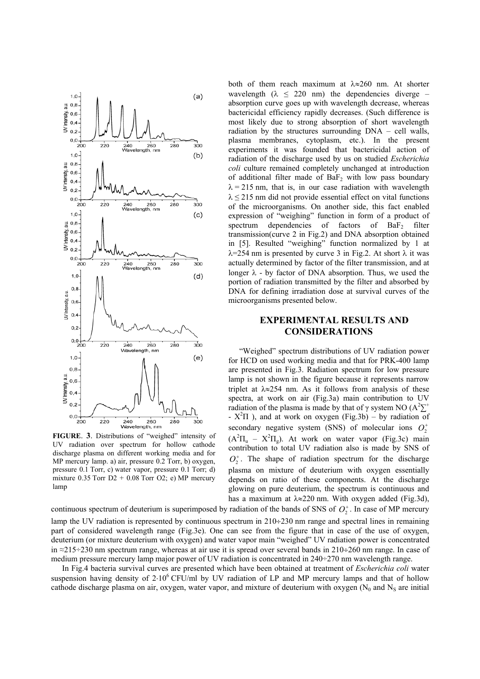

**FIGURE**. **3**. Distributions of "weighed" intensity of UV radiation over spectrum for hollow cathode discharge plasma on different working media and for MP mercury lamp. a) air, pressure 0.2 Torr, b) oxygen, pressure 0.1 Torr, c) water vapor, pressure 0.1 Torr; d) mixture  $0.35$  Torr  $D2 + 0.08$  Torr  $O2$ ; e) MP mercury lamp

both of them reach maximum at  $\lambda \approx 260$  nm. At shorter wavelength  $(\lambda \leq 220 \text{ nm})$  the dependencies diverge – absorption curve goes up with wavelength decrease, whereas bactericidal efficiency rapidly decreases. (Such difference is most likely due to strong absorption of short wavelength radiation by the structures surrounding DNA – cell walls, plasma membranes, cytoplasm, etc.). In the present experiments it was founded that bactericidal action of radiation of the discharge used by us on studied *Escherichia coli* culture remained completely unchanged at introduction of additional filter made of  $BaF<sub>2</sub>$  with low pass boundary  $\lambda$  = 215 nm, that is, in our case radiation with wavelength  $\lambda \leq 215$  nm did not provide essential effect on vital functions of the microorganisms. On another side, this fact enabled expression of "weighing" function in form of a product of spectrum dependencies of factors of  $BaF<sub>2</sub>$  filter transmission(curve 2 in Fig.2) and DNA absorption obtained in [5]. Resulted "weighing" function normalized by 1 at  $\lambda$ =254 nm is presented by curve 3 in Fig.2. At short  $\lambda$  it was actually determined by factor of the filter transmission, and at longer  $\lambda$  - by factor of DNA absorption. Thus, we used the portion of radiation transmitted by the filter and absorbed by DNA for defining irradiation dose at survival curves of the microorganisms presented below.

## **EXPERIMENTAL RESULTS AND CONSIDERATIONS**

"Weighed" spectrum distributions of UV radiation power for HCD on used working media and that for PRK-400 lamp are presented in Fig.3. Radiation spectrum for low pressure lamp is not shown in the figure because it represents narrow triplet at  $\lambda \approx 254$  nm. As it follows from analysis of these spectra, at work on air (Fig.3a) main contribution to UV radiation of the plasma is made by that of  $\gamma$  system NO (A<sup>2</sup> $\sum$ <sup>+</sup>  $- X^2\Pi$ ), and at work on oxygen (Fig.3b) – by radiation of secondary negative system (SNS) of molecular ions  $O_2^+$  $(A<sup>2</sup>\Pi<sub>u</sub> - X<sup>2</sup>\Pi<sub>g</sub>)$ . At work on water vapor (Fig.3c) main contribution to total UV radiation also is made by SNS of  $O<sub>2</sub><sup>+</sup>$ . The shape of radiation spectrum for the discharge plasma on mixture of deuterium with oxygen essentially depends on ratio of these components. At the discharge glowing on pure deuterium, the spectrum is continuous and has a maximum at  $\lambda \approx 220$  nm. With oxygen added (Fig.3d),

continuous spectrum of deuterium is superimposed by radiation of the bands of SNS of  $O_2^*$ . In case of MP mercury lamp the UV radiation is represented by continuous spectrum in 210÷230 nm range and spectral lines in remaining part of considered wavelength range (Fig.3e). One can see from the figure that in case of the use of oxygen, deuterium (or mixture deuterium with oxygen) and water vapor main "weighed" UV radiation power is concentrated in ≈215÷230 nm spectrum range, whereas at air use it is spread over several bands in 210÷260 nm range. In case of medium pressure mercury lamp major power of UV radiation is concentrated in 240÷270 nm wavelength range.

In Fig.4 bacteria survival curves are presented which have been obtained at treatment of *Escherichia coli* water suspension having density of 2⋅10<sup>6</sup> CFU/ml by UV radiation of LP and MP mercury lamps and that of hollow cathode discharge plasma on air, oxygen, water vapor, and mixture of deuterium with oxygen ( $N_0$  and  $N_S$  are initial